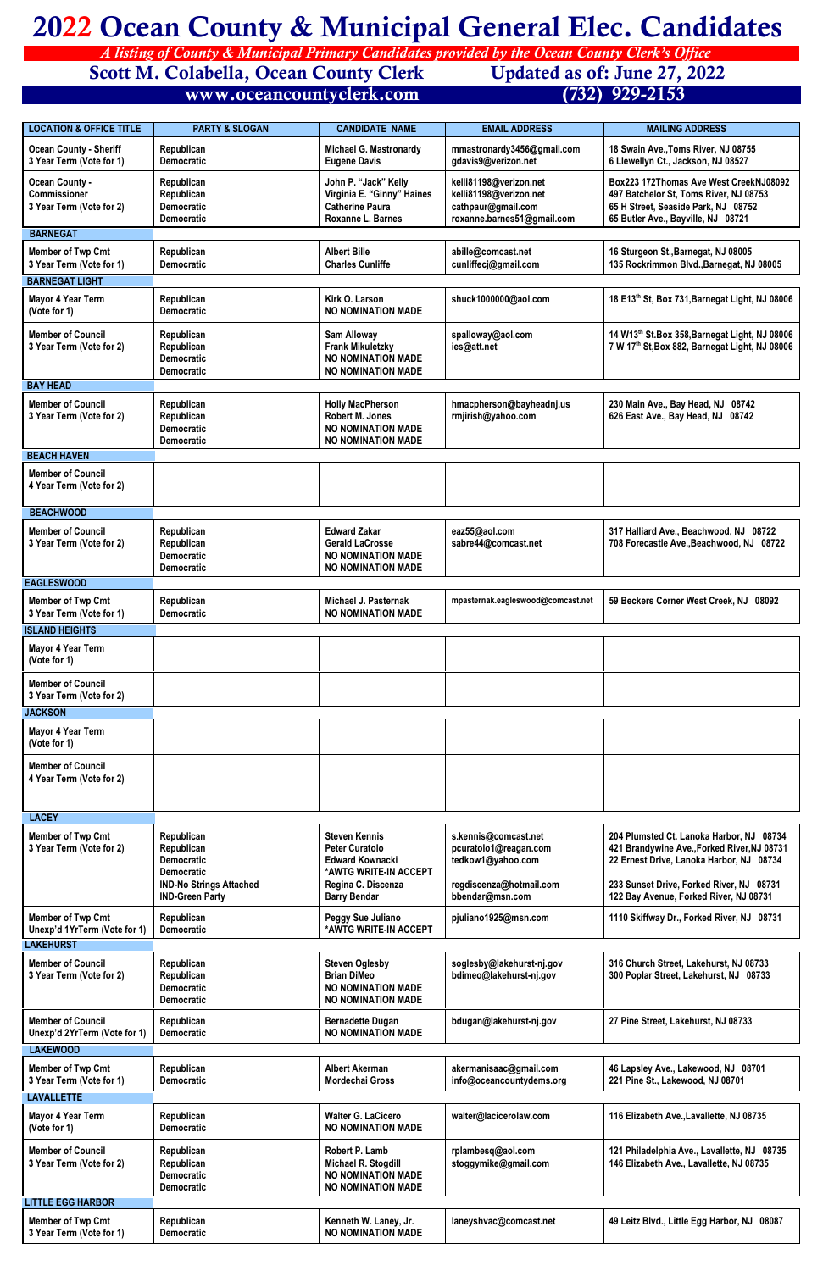## **2022 Ocean County & Municipal General Elec. Candidates**

 *A listing of County & Municipal Primary Candidates provided by the Ocean County Clerk's Office* 

**Scott M. Colabella, Ocean County Clerk Updated as of: June 27, 2022**<br>www.oceancountyclerk.com (732) 929-2153

 **[www.oceancountyclerk.com](http://www.oceancountyclerk.com) (732) 929-2153** 

| <b>LOCATION &amp; OFFICE TITLE</b>                                            | <b>PARTY &amp; SLOGAN</b>                                          | <b>CANDIDATE NAME</b>                                                                                   | <b>EMAIL ADDRESS</b>                                                                                 | <b>MAILING ADDRESS</b>                                                                                                                                        |
|-------------------------------------------------------------------------------|--------------------------------------------------------------------|---------------------------------------------------------------------------------------------------------|------------------------------------------------------------------------------------------------------|---------------------------------------------------------------------------------------------------------------------------------------------------------------|
| <b>Ocean County - Sheriff</b><br>3 Year Term (Vote for 1)                     | Republican<br><b>Democratic</b>                                    | <b>Michael G. Mastronardy</b><br><b>Eugene Davis</b>                                                    | mmastronardy3456@gmail.com<br>gdavis9@verizon.net                                                    | 18 Swain Ave., Toms River, NJ 08755<br>6 Llewellyn Ct., Jackson, NJ 08527                                                                                     |
| <b>Ocean County -</b><br><b>Commissioner</b><br>3 Year Term (Vote for 2)      | Republican<br>Republican<br><b>Democratic</b><br><b>Democratic</b> | John P. "Jack" Kelly<br>Virginia E. "Ginny" Haines<br><b>Catherine Paura</b><br>Roxanne L. Barnes       | kelli81198@verizon.net<br>kelli81198@verizon.net<br>cathpaur@gmail.com<br>roxanne.barnes51@gmail.com | Box223 172Thomas Ave West CreekNJ08092<br>497 Batchelor St, Toms River, NJ 08753<br>65 H Street, Seaside Park, NJ 08752<br>65 Butler Ave., Bayville, NJ 08721 |
| <b>BARNEGAT</b>                                                               |                                                                    |                                                                                                         |                                                                                                      |                                                                                                                                                               |
| <b>Member of Twp Cmt</b><br>3 Year Term (Vote for 1)<br><b>BARNEGAT LIGHT</b> | Republican<br><b>Democratic</b>                                    | <b>Albert Bille</b><br><b>Charles Cunliffe</b>                                                          | abille@comcast.net<br>cunliffecj@gmail.com                                                           | 16 Sturgeon St., Barnegat, NJ 08005<br>135 Rockrimmon Blvd., Barnegat, NJ 08005                                                                               |
| <b>Mayor 4 Year Term</b><br>(Vote for 1)                                      | Republican<br><b>Democratic</b>                                    | Kirk O. Larson<br><b>NO NOMINATION MADE</b>                                                             | shuck1000000@aol.com                                                                                 | 18 E13th St, Box 731, Barnegat Light, NJ 08006                                                                                                                |
| <b>Member of Council</b><br>3 Year Term (Vote for 2)                          | Republican<br>Republican<br><b>Democratic</b><br><b>Democratic</b> | <b>Sam Alloway</b><br><b>Frank Mikuletzky</b><br><b>NO NOMINATION MADE</b><br><b>NO NOMINATION MADE</b> | spalloway@aol.com<br>ies@att.net                                                                     | 14 W13 <sup>th</sup> St.Box 358, Barnegat Light, NJ 08006<br>7 W 17th St, Box 882, Barnegat Light, NJ 08006                                                   |
| <b>BAY HEAD</b>                                                               |                                                                    |                                                                                                         |                                                                                                      |                                                                                                                                                               |
| <b>Member of Council</b><br>3 Year Term (Vote for 2)                          | Republican<br>Republican<br><b>Democratic</b><br><b>Democratic</b> | <b>Holly MacPherson</b><br>Robert M. Jones<br><b>NO NOMINATION MADE</b><br><b>NO NOMINATION MADE</b>    | hmacpherson@bayheadnj.us<br>rmjirish@yahoo.com                                                       | 230 Main Ave., Bay Head, NJ 08742<br>626 East Ave., Bay Head, NJ 08742                                                                                        |
| <b>BEACH HAVEN</b>                                                            |                                                                    |                                                                                                         |                                                                                                      |                                                                                                                                                               |
| <b>Member of Council</b><br>4 Year Term (Vote for 2)                          |                                                                    |                                                                                                         |                                                                                                      |                                                                                                                                                               |
| <b>BEACHWOOD</b>                                                              |                                                                    |                                                                                                         |                                                                                                      |                                                                                                                                                               |
| <b>Member of Council</b><br>3 Year Term (Vote for 2)                          | Republican<br>Republican<br><b>Democratic</b><br><b>Democratic</b> | <b>Edward Zakar</b><br><b>Gerald LaCrosse</b><br><b>NO NOMINATION MADE</b><br><b>NO NOMINATION MADE</b> | eaz55@aol.com<br>sabre44@comcast.net                                                                 | 317 Halliard Ave., Beachwood, NJ 08722<br>708 Forecastle Ave., Beachwood, NJ 08722                                                                            |
| <b>EAGLESWOOD</b>                                                             |                                                                    |                                                                                                         |                                                                                                      |                                                                                                                                                               |
| <b>Member of Twp Cmt</b><br>3 Year Term (Vote for 1)<br><b>ISLAND HEIGHTS</b> | Republican<br><b>Democratic</b>                                    | <b>Michael J. Pasternak</b><br><b>NO NOMINATION MADE</b>                                                | mpasternak.eagleswood@comcast.net                                                                    | 59 Beckers Corner West Creek, NJ 08092                                                                                                                        |
| <b>Mayor 4 Year Term</b>                                                      |                                                                    |                                                                                                         |                                                                                                      |                                                                                                                                                               |
| (Vote for 1)                                                                  |                                                                    |                                                                                                         |                                                                                                      |                                                                                                                                                               |
| <b>Member of Council</b><br>3 Year Term (Vote for 2)                          |                                                                    |                                                                                                         |                                                                                                      |                                                                                                                                                               |
| <b>JACKSON</b>                                                                |                                                                    |                                                                                                         |                                                                                                      |                                                                                                                                                               |
| <b>Mayor 4 Year Term</b><br>(Vote for 1)                                      |                                                                    |                                                                                                         |                                                                                                      |                                                                                                                                                               |
| <b>Member of Council</b><br>4 Year Term (Vote for 2)                          |                                                                    |                                                                                                         |                                                                                                      |                                                                                                                                                               |
| <b>LACEY</b>                                                                  |                                                                    |                                                                                                         |                                                                                                      |                                                                                                                                                               |
| <b>Member of Twp Cmt</b><br>3 Year Term (Vote for 2)                          | Republican<br>Republican<br><b>Democratic</b><br><b>Democratic</b> | <b>Steven Kennis</b><br><b>Peter Curatolo</b><br><b>Edward Kownacki</b><br>*AWTG WRITE-IN ACCEPT        | s.kennis@comcast.net<br>pcuratolo1@reagan.com<br>tedkow1@yahoo.com                                   | 204 Plumsted Ct. Lanoka Harbor, NJ 08734<br>421 Brandywine Ave., Forked River, NJ 08731<br>22 Ernest Drive, Lanoka Harbor, NJ 08734                           |
|                                                                               | <b>IND-No Strings Attached</b><br><b>IND-Green Party</b>           | Regina C. Discenza<br><b>Barry Bendar</b>                                                               | regdiscenza@hotmail.com<br>bbendar@msn.com                                                           | 233 Sunset Drive, Forked River, NJ 08731<br>122 Bay Avenue, Forked River, NJ 08731                                                                            |
| <b>Member of Twp Cmt</b><br>Unexp'd 1YrTerm (Vote for 1)<br><b>LAKEHURST</b>  | Republican<br><b>Democratic</b>                                    | Peggy Sue Juliano<br>*AWTG WRITE-IN ACCEPT                                                              | pjuliano1925@msn.com                                                                                 | 1110 Skiffway Dr., Forked River, NJ 08731                                                                                                                     |
| <b>Member of Council</b>                                                      | Republican                                                         | <b>Steven Oglesby</b>                                                                                   | soglesby@lakehurst-nj.gov                                                                            | 316 Church Street, Lakehurst, NJ 08733                                                                                                                        |
| 3 Year Term (Vote for 2)                                                      | Republican<br><b>Democratic</b><br><b>Democratic</b>               | <b>Brian DiMeo</b><br><b>NO NOMINATION MADE</b><br><b>NO NOMINATION MADE</b>                            | bdimeo@lakehurst-nj.gov                                                                              | 300 Poplar Street, Lakehurst, NJ 08733                                                                                                                        |
| <b>Member of Council</b><br>Unexp'd 2YrTerm (Vote for 1)                      | Republican<br><b>Democratic</b>                                    | <b>Bernadette Dugan</b><br><b>NO NOMINATION MADE</b>                                                    | bdugan@lakehurst-nj.gov                                                                              | 27 Pine Street, Lakehurst, NJ 08733                                                                                                                           |
| <b>LAKEWOOD</b>                                                               |                                                                    |                                                                                                         |                                                                                                      |                                                                                                                                                               |
| <b>Member of Twp Cmt</b><br>3 Year Term (Vote for 1)<br><b>LAVALLETTE</b>     | Republican<br><b>Democratic</b>                                    | <b>Albert Akerman</b><br><b>Mordechai Gross</b>                                                         | akermanisaac@gmail.com<br>info@oceancountydems.org                                                   | 46 Lapsley Ave., Lakewood, NJ 08701<br>221 Pine St., Lakewood, NJ 08701                                                                                       |
| <b>Mayor 4 Year Term</b>                                                      | Republican                                                         | <b>Walter G. LaCicero</b>                                                                               | walter@lacicerolaw.com                                                                               | 116 Elizabeth Ave., Lavallette, NJ 08735                                                                                                                      |
| (Vote for 1)                                                                  | <b>Democratic</b>                                                  | <b>NO NOMINATION MADE</b>                                                                               |                                                                                                      |                                                                                                                                                               |
| <b>Member of Council</b><br>3 Year Term (Vote for 2)                          | Republican<br>Republican<br><b>Democratic</b><br><b>Democratic</b> | Robert P. Lamb<br>Michael R. Stogdill<br><b>NO NOMINATION MADE</b><br><b>NO NOMINATION MADE</b>         | rplambesq@aol.com<br>stoggymike@gmail.com                                                            | 121 Philadelphia Ave., Lavallette, NJ 08735<br>146 Elizabeth Ave., Lavallette, NJ 08735                                                                       |
| <b>LITTLE EGG HARBOR</b>                                                      |                                                                    |                                                                                                         |                                                                                                      |                                                                                                                                                               |
| <b>Member of Twp Cmt</b><br>3 Year Term (Vote for 1)                          | Republican<br><b>Democratic</b>                                    | Kenneth W. Laney, Jr.<br><b>NO NOMINATION MADE</b>                                                      | laneyshvac@comcast.net                                                                               | 49 Leitz Blvd., Little Egg Harbor, NJ 08087                                                                                                                   |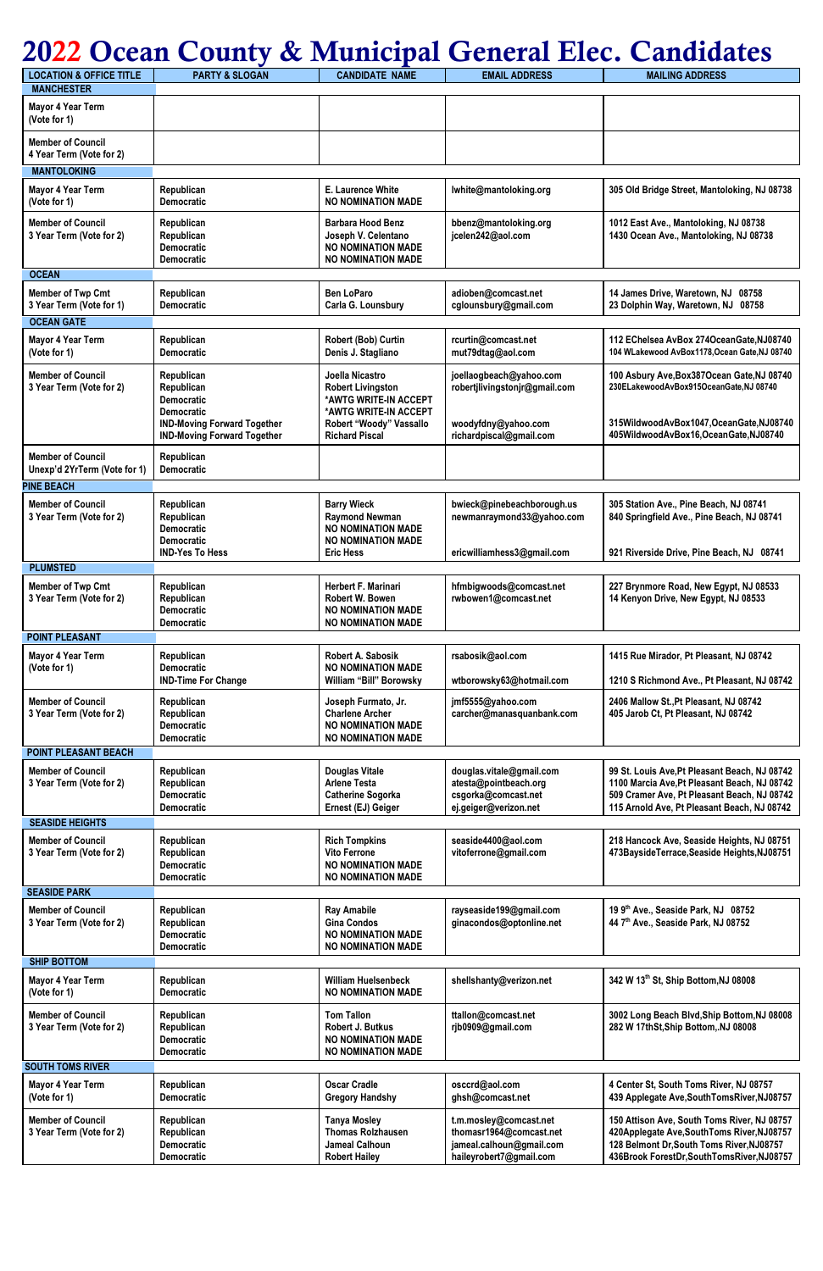## **2022 Ocean County & Municipal General Elec. Candidates**

| <b>LOCATION &amp; OFFICE TITLE</b>                       | <b>PARTY &amp; SLOGAN</b>                                                | <b>CANDIDATE NAME</b>                                                                                          | <b>EMAIL ADDRESS</b>                                                                                     | <b>MAILING ADDRESS</b>                                                                                                                                                                      |
|----------------------------------------------------------|--------------------------------------------------------------------------|----------------------------------------------------------------------------------------------------------------|----------------------------------------------------------------------------------------------------------|---------------------------------------------------------------------------------------------------------------------------------------------------------------------------------------------|
| <b>MANCHESTER</b>                                        |                                                                          |                                                                                                                |                                                                                                          |                                                                                                                                                                                             |
| <b>Mayor 4 Year Term</b><br>(Vote for 1)                 |                                                                          |                                                                                                                |                                                                                                          |                                                                                                                                                                                             |
| <b>Member of Council</b><br>4 Year Term (Vote for 2)     |                                                                          |                                                                                                                |                                                                                                          |                                                                                                                                                                                             |
| <b>MANTOLOKING</b>                                       |                                                                          |                                                                                                                |                                                                                                          |                                                                                                                                                                                             |
| <b>Mayor 4 Year Term</b><br>(Vote for 1)                 | Republican<br><b>Democratic</b>                                          | <b>E. Laurence White</b><br><b>NO NOMINATION MADE</b>                                                          | lwhite@mantoloking.org                                                                                   | 305 Old Bridge Street, Mantoloking, NJ 08738                                                                                                                                                |
| <b>Member of Council</b><br>3 Year Term (Vote for 2)     | Republican<br>Republican<br><b>Democratic</b><br><b>Democratic</b>       | <b>Barbara Hood Benz</b><br>Joseph V. Celentano<br><b>NO NOMINATION MADE</b><br><b>NO NOMINATION MADE</b>      | bbenz@mantoloking.org<br>jcelen242@aol.com                                                               | 1012 East Ave., Mantoloking, NJ 08738<br>1430 Ocean Ave., Mantoloking, NJ 08738                                                                                                             |
| <b>OCEAN</b>                                             |                                                                          |                                                                                                                |                                                                                                          |                                                                                                                                                                                             |
| <b>Member of Twp Cmt</b><br>3 Year Term (Vote for 1)     | Republican<br><b>Democratic</b>                                          | <b>Ben LoParo</b><br>Carla G. Lounsbury                                                                        | adioben@comcast.net<br>cglounsbury@gmail.com                                                             | 14 James Drive, Waretown, NJ 08758<br>23 Dolphin Way, Waretown, NJ 08758                                                                                                                    |
| <b>OCEAN GATE</b>                                        |                                                                          |                                                                                                                |                                                                                                          |                                                                                                                                                                                             |
| <b>Mayor 4 Year Term</b><br>(Vote for 1)                 | Republican<br><b>Democratic</b>                                          | Robert (Bob) Curtin<br>Denis J. Stagliano                                                                      | rcurtin@comcast.net<br>mut79dtag@aol.com                                                                 | 112 EChelsea AvBox 274OceanGate, NJ08740<br>104 WLakewood AvBox1178, Ocean Gate, NJ 08740                                                                                                   |
| <b>Member of Council</b><br>3 Year Term (Vote for 2)     | Republican<br>Republican<br><b>Democratic</b><br><b>Democratic</b>       | Joella Nicastro<br><b>Robert Livingston</b><br>*AWTG WRITE-IN ACCEPT<br>*AWTG WRITE-IN ACCEPT                  | joellaogbeach@yahoo.com<br>robertjlivingstonjr@gmail.com                                                 | 100 Asbury Ave, Box 387 Ocean Gate, NJ 08740<br>230ELakewoodAvBox915OceanGate,NJ 08740                                                                                                      |
|                                                          | <b>IND-Moving Forward Together</b><br><b>IND-Moving Forward Together</b> | Robert "Woody" Vassallo<br><b>Richard Piscal</b>                                                               | woodyfdny@yahoo.com<br>richardpiscal@gmail.com                                                           | 315WildwoodAvBox1047,OceanGate,NJ08740<br>405WildwoodAvBox16,OceanGate,NJ08740                                                                                                              |
| <b>Member of Council</b><br>Unexp'd 2YrTerm (Vote for 1) | Republican<br><b>Democratic</b>                                          |                                                                                                                |                                                                                                          |                                                                                                                                                                                             |
| <b>PINE BEACH</b>                                        |                                                                          |                                                                                                                |                                                                                                          |                                                                                                                                                                                             |
| <b>Member of Council</b><br>3 Year Term (Vote for 2)     | Republican<br>Republican<br><b>Democratic</b><br><b>Democratic</b>       | <b>Barry Wieck</b><br><b>Raymond Newman</b><br><b>NO NOMINATION MADE</b><br><b>NO NOMINATION MADE</b>          | bwieck@pinebeachborough.us<br>newmanraymond33@yahoo.com                                                  | 305 Station Ave., Pine Beach, NJ 08741<br>840 Springfield Ave., Pine Beach, NJ 08741                                                                                                        |
|                                                          | <b>IND-Yes To Hess</b>                                                   | <b>Eric Hess</b>                                                                                               | ericwilliamhess3@gmail.com                                                                               | 921 Riverside Drive, Pine Beach, NJ 08741                                                                                                                                                   |
| <b>PLUMSTED</b>                                          |                                                                          |                                                                                                                |                                                                                                          |                                                                                                                                                                                             |
| <b>Member of Twp Cmt</b><br>3 Year Term (Vote for 2)     | Republican<br>Republican<br><b>Democratic</b><br><b>Democratic</b>       | <b>Herbert F. Marinari</b><br><b>Robert W. Bowen</b><br><b>NO NOMINATION MADE</b><br><b>NO NOMINATION MADE</b> | hfmbigwoods@comcast.net<br>rwbowen1@comcast.net                                                          | 227 Brynmore Road, New Egypt, NJ 08533<br>14 Kenyon Drive, New Egypt, NJ 08533                                                                                                              |
| <b>POINT PLEASANT</b>                                    |                                                                          |                                                                                                                |                                                                                                          |                                                                                                                                                                                             |
| <b>Mayor 4 Year Term</b><br>(Vote for 1)                 | Republican<br><b>Democratic</b><br><b>IND-Time For Change</b>            | <b>Robert A. Sabosik</b><br><b>NO NOMINATION MADE</b><br>William "Bill" Borowsky                               | rsabosik@aol.com<br>wtborowsky63@hotmail.com                                                             | 1415 Rue Mirador, Pt Pleasant, NJ 08742<br>1210 S Richmond Ave., Pt Pleasant, NJ 08742                                                                                                      |
| <b>Member of Council</b><br>3 Year Term (Vote for 2)     | Republican<br>Republican<br><b>Democratic</b><br><b>Democratic</b>       | Joseph Furmato, Jr.<br><b>Charlene Archer</b><br><b>NO NOMINATION MADE</b><br><b>NO NOMINATION MADE</b>        | jmf5555@yahoo.com<br>carcher@manasquanbank.com                                                           | 2406 Mallow St., Pt Pleasant, NJ 08742<br>405 Jarob Ct, Pt Pleasant, NJ 08742                                                                                                               |
| <b>POINT PLEASANT BEACH</b>                              |                                                                          |                                                                                                                |                                                                                                          |                                                                                                                                                                                             |
| <b>Member of Council</b><br>3 Year Term (Vote for 2)     | Republican<br>Republican<br><b>Democratic</b><br><b>Democratic</b>       | <b>Douglas Vitale</b><br><b>Arlene Testa</b><br><b>Catherine Sogorka</b><br>Ernest (EJ) Geiger                 | douglas.vitale@gmail.com<br>atesta@pointbeach.org<br>csgorka@comcast.net<br>ej.geiger@verizon.net        | 99 St. Louis Ave, Pt Pleasant Beach, NJ 08742<br>1100 Marcia Ave, Pt Pleasant Beach, NJ 08742<br>509 Cramer Ave, Pt Pleasant Beach, NJ 08742<br>115 Arnold Ave, Pt Pleasant Beach, NJ 08742 |
| <b>SEASIDE HEIGHTS</b>                                   |                                                                          |                                                                                                                |                                                                                                          |                                                                                                                                                                                             |
| <b>Member of Council</b><br>3 Year Term (Vote for 2)     | Republican<br>Republican<br><b>Democratic</b><br><b>Democratic</b>       | <b>Rich Tompkins</b><br><b>Vito Ferrone</b><br><b>NO NOMINATION MADE</b><br><b>NO NOMINATION MADE</b>          | seaside4400@aol.com<br>vitoferrone@gmail.com                                                             | 218 Hancock Ave, Seaside Heights, NJ 08751<br>473BaysideTerrace,Seaside Heights,NJ08751                                                                                                     |
| <b>SEASIDE PARK</b>                                      |                                                                          |                                                                                                                |                                                                                                          |                                                                                                                                                                                             |
| <b>Member of Council</b><br>3 Year Term (Vote for 2)     | Republican<br>Republican<br><b>Democratic</b><br><b>Democratic</b>       | <b>Ray Amabile</b><br><b>Gina Condos</b><br><b>NO NOMINATION MADE</b><br><b>NO NOMINATION MADE</b>             | rayseaside199@gmail.com<br>ginacondos@optonline.net                                                      | 19 9th Ave., Seaside Park, NJ 08752<br>44 7th Ave., Seaside Park, NJ 08752                                                                                                                  |
| <b>SHIP BOTTOM</b>                                       |                                                                          |                                                                                                                |                                                                                                          |                                                                                                                                                                                             |
| <b>Mayor 4 Year Term</b><br>(Vote for 1)                 | Republican<br><b>Democratic</b>                                          | <b>William Huelsenbeck</b><br><b>NO NOMINATION MADE</b>                                                        | shellshanty@verizon.net                                                                                  | 342 W 13th St, Ship Bottom, NJ 08008                                                                                                                                                        |
| <b>Member of Council</b><br>3 Year Term (Vote for 2)     | Republican<br>Republican<br><b>Democratic</b><br><b>Democratic</b>       | <b>Tom Tallon</b><br>Robert J. Butkus<br><b>NO NOMINATION MADE</b><br><b>NO NOMINATION MADE</b>                | ttallon@comcast.net<br>rjb0909@gmail.com                                                                 | 3002 Long Beach Blvd, Ship Bottom, NJ 08008<br>282 W 17thSt, Ship Bottom, NJ 08008                                                                                                          |
| <b>SOUTH TOMS RIVER</b>                                  |                                                                          |                                                                                                                |                                                                                                          |                                                                                                                                                                                             |
| <b>Mayor 4 Year Term</b><br>(Vote for 1)                 | Republican<br><b>Democratic</b>                                          | <b>Oscar Cradle</b><br><b>Gregory Handshy</b>                                                                  | osccrd@aol.com<br>ghsh@comcast.net                                                                       | 4 Center St, South Toms River, NJ 08757<br>439 Applegate Ave, South Toms River, NJ08757                                                                                                     |
| <b>Member of Council</b><br>3 Year Term (Vote for 2)     | Republican<br>Republican<br><b>Democratic</b><br><b>Democratic</b>       | <b>Tanya Mosley</b><br><b>Thomas Rolzhausen</b><br>Jameal Calhoun<br><b>Robert Hailey</b>                      | t.m.mosley@comcast.net<br>thomasr1964@comcast.net<br>jameal.calhoun@gmail.com<br>haileyrobert7@gmail.com | 150 Attison Ave, South Toms River, NJ 08757<br>420Applegate Ave, South Toms River, NJ08757<br>128 Belmont Dr, South Toms River, NJ08757<br>436Brook ForestDr, SouthTomsRiver, NJ08757       |